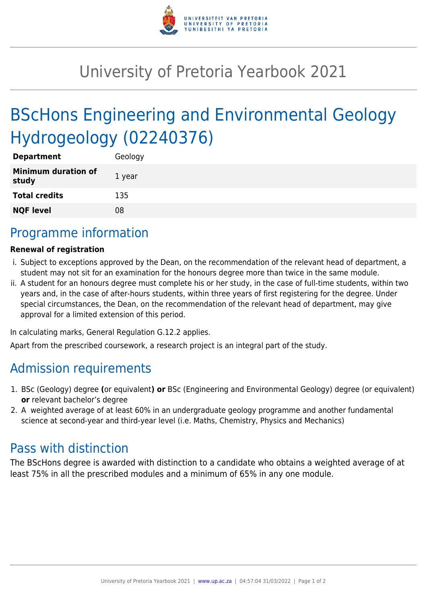

## University of Pretoria Yearbook 2021

# BScHons Engineering and Environmental Geology Hydrogeology (02240376)

| <b>Department</b>                   | Geology |
|-------------------------------------|---------|
| <b>Minimum duration of</b><br>study | 1 year  |
| <b>Total credits</b>                | 135     |
| <b>NQF level</b>                    | 08      |

## Programme information

#### **Renewal of registration**

- i. Subject to exceptions approved by the Dean, on the recommendation of the relevant head of department, a student may not sit for an examination for the honours degree more than twice in the same module.
- ii. A student for an honours degree must complete his or her study, in the case of full-time students, within two years and, in the case of after-hours students, within three years of first registering for the degree. Under special circumstances, the Dean, on the recommendation of the relevant head of department, may give approval for a limited extension of this period.

In calculating marks, General Regulation G.12.2 applies.

Apart from the prescribed coursework, a research project is an integral part of the study.

### Admission requirements

- 1. BSc (Geology) degree **(**or equivalent**) or** BSc (Engineering and Environmental Geology) degree (or equivalent) **or** relevant bachelor's degree
- 2. A weighted average of at least 60% in an undergraduate geology programme and another fundamental science at second-year and third-year level (i.e. Maths, Chemistry, Physics and Mechanics)

#### Pass with distinction

The BScHons degree is awarded with distinction to a candidate who obtains a weighted average of at least 75% in all the prescribed modules and a minimum of 65% in any one module.